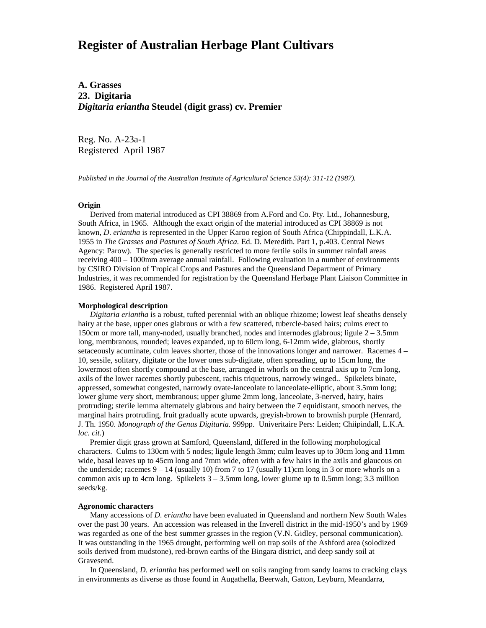# **Register of Australian Herbage Plant Cultivars**

**A. Grasses 23. Digitaria** *Digitaria eriantha* **Steudel (digit grass) cv. Premier**

Reg. No. A-23a-1 Registered April 1987

*Published in the Journal of the Australian Institute of Agricultural Science 53(4): 311-12 (1987).*

### **Origin**

 Derived from material introduced as CPI 38869 from A.Ford and Co. Pty. Ltd., Johannesburg, South Africa, in 1965. Although the exact origin of the material introduced as CPI 38869 is not known, *D*. *eriantha* is represented in the Upper Karoo region of South Africa (Chippindall, L.K.A. 1955 in *The Grasses and Pastures of South Africa.* Ed. D. Meredith. Part 1, p.403. Central News Agency: Parow). The species is generally restricted to more fertile soils in summer rainfall areas receiving 400 – 1000mm average annual rainfall. Following evaluation in a number of environments by CSIRO Division of Tropical Crops and Pastures and the Queensland Department of Primary Industries, it was recommended for registration by the Queensland Herbage Plant Liaison Committee in 1986. Registered April 1987.

### **Morphological description**

*Digitaria eriantha* is a robust, tufted perennial with an oblique rhizome; lowest leaf sheaths densely hairy at the base, upper ones glabrous or with a few scattered, tubercle-based hairs; culms erect to 150cm or more tall, many-noded, usually branched, nodes and internodes glabrous; ligule  $2 - 3.5$ mm long, membranous, rounded; leaves expanded, up to 60cm long, 6-12mm wide, glabrous, shortly setaceously acuminate, culm leaves shorter, those of the innovations longer and narrower. Racemes 4 – 10, sessile, solitary, digitate or the lower ones sub-digitate, often spreading, up to 15cm long, the lowermost often shortly compound at the base, arranged in whorls on the central axis up to 7cm long, axils of the lower racemes shortly pubescent, rachis triquetrous, narrowly winged.. Spikelets binate, appressed, somewhat congested, narrowly ovate-lanceolate to lanceolate-elliptic, about 3.5mm long; lower glume very short, membranous; upper glume 2mm long, lanceolate, 3-nerved, hairy, hairs protruding; sterile lemma alternately glabrous and hairy between the 7 equidistant, smooth nerves, the marginal hairs protruding, fruit gradually acute upwards, greyish-brown to brownish purple (Henrard, J. Th. 1950. *Monograph of the Genus Digitaria.* 999pp. Univeritaire Pers: Leiden; Chiipindall, L.K.A. *loc. cit.*)

 Premier digit grass grown at Samford, Queensland, differed in the following morphological characters. Culms to 130cm with 5 nodes; ligule length 3mm; culm leaves up to 30cm long and 11mm wide, basal leaves up to 45cm long and 7mm wide, often with a few hairs in the axils and glaucous on the underside; racemes  $9 - 14$  (usually 10) from 7 to 17 (usually 11)cm long in 3 or more whorls on a common axis up to 4cm long. Spikelets  $3 - 3.5$ mm long, lower glume up to 0.5mm long; 3.3 million seeds/kg.

## **Agronomic characters**

Many accessions of *D. eriantha* have been evaluated in Queensland and northern New South Wales over the past 30 years. An accession was released in the Inverell district in the mid-1950's and by 1969 was regarded as one of the best summer grasses in the region (V.N. Gidley, personal communication). It was outstanding in the 1965 drought, performing well on trap soils of the Ashford area (solodized soils derived from mudstone), red-brown earths of the Bingara district, and deep sandy soil at Gravesend.

 In Queensland, *D. eriantha* has performed well on soils ranging from sandy loams to cracking clays in environments as diverse as those found in Augathella, Beerwah, Gatton, Leyburn, Meandarra,